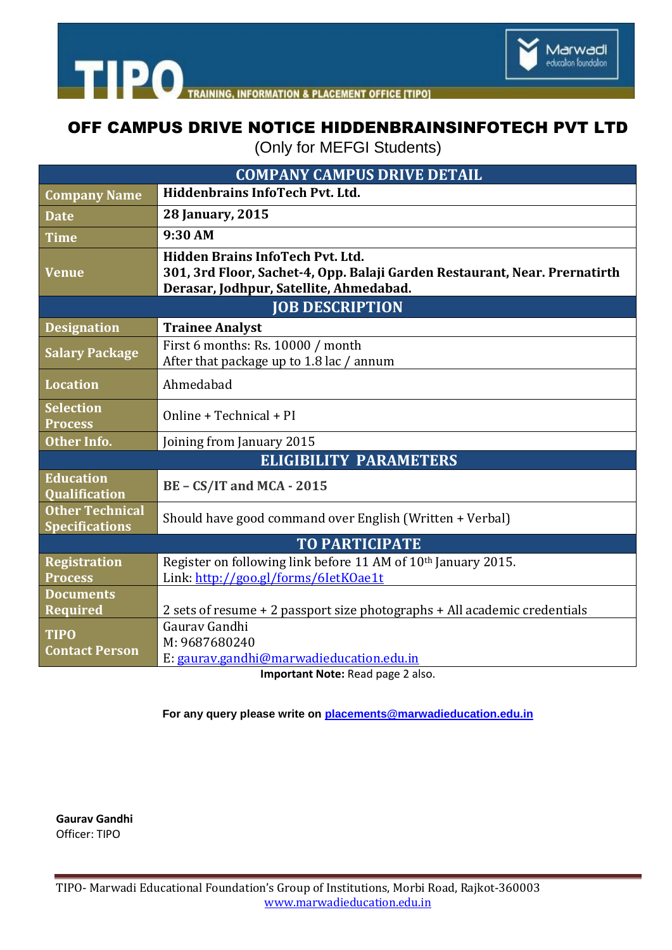

**TIPO** TRAINING **INFORMATION & PLACEMENT OFFICE ITIPOI** 

## OFF CAMPUS DRIVE NOTICE HIDDENBRAINSINFOTECH PVT LTD

(Only for MEFGI Students)

| <b>COMPANY CAMPUS DRIVE DETAIL</b>              |                                                                                                                                                                  |
|-------------------------------------------------|------------------------------------------------------------------------------------------------------------------------------------------------------------------|
| <b>Company Name</b>                             | <b>Hiddenbrains InfoTech Pvt. Ltd.</b>                                                                                                                           |
| <b>Date</b>                                     | <b>28 January, 2015</b>                                                                                                                                          |
| <b>Time</b>                                     | 9:30 AM                                                                                                                                                          |
| <b>Venue</b>                                    | <b>Hidden Brains InfoTech Pvt. Ltd.</b><br>301, 3rd Floor, Sachet-4, Opp. Balaji Garden Restaurant, Near. Prernatirth<br>Derasar, Jodhpur, Satellite, Ahmedabad. |
| <b>JOB DESCRIPTION</b>                          |                                                                                                                                                                  |
| <b>Designation</b>                              | <b>Trainee Analyst</b>                                                                                                                                           |
| <b>Salary Package</b>                           | First 6 months: Rs. 10000 / month<br>After that package up to 1.8 lac / annum                                                                                    |
| <b>Location</b>                                 | Ahmedabad                                                                                                                                                        |
| <b>Selection</b><br><b>Process</b>              | Online + Technical + PI                                                                                                                                          |
| <b>Other Info.</b>                              | Joining from January 2015                                                                                                                                        |
| <b>ELIGIBILITY PARAMETERS</b>                   |                                                                                                                                                                  |
| <b>Education</b><br><b>Qualification</b>        | BE - CS/IT and MCA - 2015                                                                                                                                        |
| <b>Other Technical</b><br><b>Specifications</b> | Should have good command over English (Written + Verbal)                                                                                                         |
| <b>TO PARTICIPATE</b>                           |                                                                                                                                                                  |
| <b>Registration</b><br><b>Process</b>           | Register on following link before 11 AM of 10th January 2015.<br>Link: http://goo.gl/forms/6letK0ae1t                                                            |
| <b>Documents</b><br><b>Required</b>             | 2 sets of resume + 2 passport size photographs + All academic credentials                                                                                        |
| <b>TIPO</b><br><b>Contact Person</b>            | Gauray Gandhi<br>M: 9687680240<br>E: gaurav.gandhi@marwadieducation.edu.in                                                                                       |

**Important Note:** Read page 2 also.

**For any query please write on [placements@marwadieducation.edu.in](mailto:placements@marwadieducation.edu.in)**

**Gaurav Gandhi** Officer: TIPO